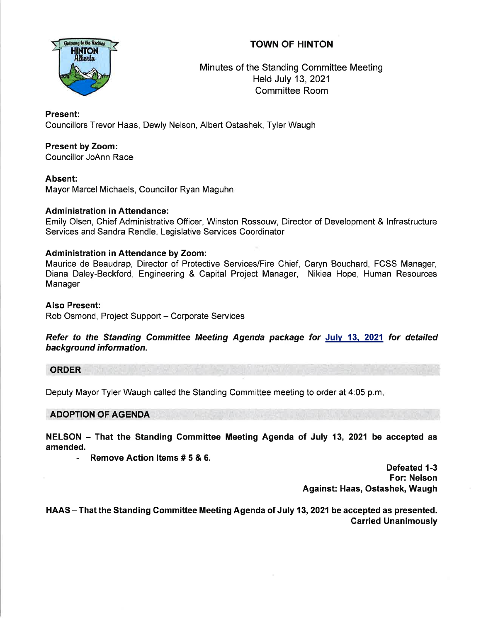# TOWN OF HINTON



Minutes of the Standing Committee Meeting Held July 13,2021 Committee Room

## Present:

Councillors Trevor Haas, Dewly Nelson, Albert Ostashek, Tyler Waugh

## Present by Zoom:

Councillor JoAnn Race

### Absent:

Mayor Marcel Michaels, Councillor Ryan Maguhn

### Administration in Attendance:

Emily Olsen, Chief Administrative Officer, Winston Rossouw, Director of Development & lnfrastructure Services and Sandra Rendle, Legislative Services Coordinator

### Administration in Attendance by Zoom:

Maurice de Beaudrap, Director of Protective Services/Fire Chief, Caryn Bouchard, FCSS Manager, Diana Daley-Beckford, Engineering & Capital Project Manager, Nikiea Hope, Human Resources Manager

### Also Present:

Rob Osmond, Project Support - Corporate Services

Refer to the Standing Committee Meeting Agenda package for July 13, 2021 for detailed background information.

#### ORDER

Deputy Mayor Tyler Waugh called the Standing Committee meeting to order at 4:05 p.m

ADOPTION OF AGENDA

NELSON - That the Standing Committee Meeting Agenda of July 13, 2021 be accepted as amended.

- Remove Action ltems # 5 & 6.

Defeated 1-3 For: Nelson Against: Haas, Ostashek, Waugh

HAAS - That the Standing Committee Meeting Agenda of July 13, 2021 be accepted as presented. Garried Unanimously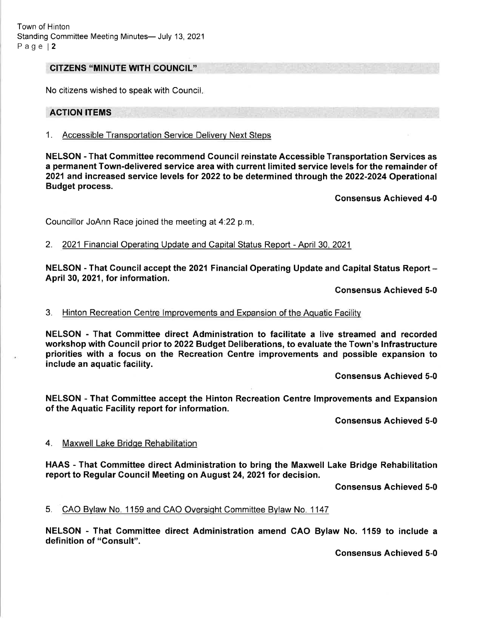#### GITZENS "MINUTE WITH COUNGIL''

No citizens wished to speak with Council

#### ACTION ITEMS

1. Accessible Transportation Service Deliverv Next Steps

NELSON - That Gommittee recommend Council reinstate Accessible Transportation Services as a permanent Town-delivered service area with current limited service levels for the remainder of 2021 and increased service levels for 2022 to be determined through the 2022-2024 Operational Budget process.

Consensus Achieved 4-0

Councillor JoAnn Race joined the meeting at 4.22 p.m

2. 2021 Financial Operating Update and Capital Status Report - April 30, 2021

NELSON - That Council accept the 2021 Financial Operating Update and Capital Status Report -April 30, 2021, for information.

Gonsensus Achieved 5-0

#### 3. Hinton Recreation Centre lmprovements and Expansion of the Aquatic Facilitv

NELSON - That Committee direct Administration to facilitate a live streamed and recorded workshop with Gouncil prior to 2022 Budget Deliberations, to evaluate the Town's lnfrastructure priorities with a focus on the Recreation Centre improvements and possible expansion to include an aquatic facility.

Consensus Achieved 5-0

NELSON - That Gommittee accept the Hinton Recreation Gentre lmprovements and Expansion of the Aquatic Facility report for information.

Gonsensus Achieved 5-0

#### 4. Maxwell Lake Bridqe Rehabilitation

HAAS - That Gommittee direct Administration to bring the Maxwell Lake Bridge Rehabilitation report to Regular Council Meeting on August 24,2021 for decision.

Consensus Achieved 5-0

5. CAO Bylaw No. 1159 and CAO Oversight Committee Bylaw No. 1147

NELSON - That Gommittee direct Administration amend GAO Bylaw No. 1159 to include <sup>a</sup> definition of "Gonsult".

Consensus Achieved 5-0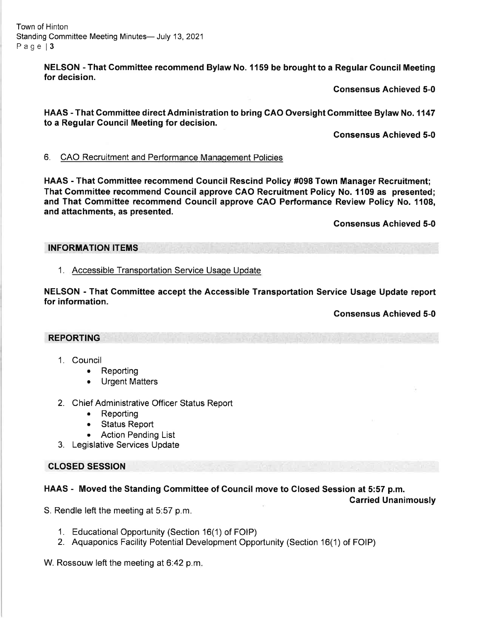Town of Hinton Standing Committee Meeting Minutes- July 13, 2021 Page | 3

> NELSON - That Committee recommend Bylaw No. 1159 be brought to a Regular Council Meeting for decision.

> > Gonsensus Achieved 5-0

HAAS - That Committee direct Administration to bring GAO Oversight Gommittee Bylaw No. 1147 to a Regular Council Meeting for decision.

Consensus Achieved 5-0

#### 6. CAO Recruitment and Performance Manaqement Policies

HAAS - That Gommittee recommend Council Rescind Policy #098 Town Manager Recruitment; That Gommittee recommend Gouncil approve CAO Recruitment Policy No. 1109 as presented; and That Gommittee recommend Gouncil approve CAO Performance Review Policy No. 1108, and attachments, as presented.

Gonsensus Achieved 5-0

INFORMATION ITEMS

### 1. Accessible Transoortation Service Usaoe Update

NELSON - That Gommittee accept the Accessible Transportation Service Usage Update report for information.

Consensus Achieved 5-0

### REPORTING

- 1. Council
	- Reporting
	- a Urgent Matters
- 2. Chief Administrative Officer Status Report
	- . Reporting
	- Status Report
	- Action Pending List
- 3. Legislative Services Update

# CLOSED SESSION

# HAAS - Moved the Standing Committee of Council move to Closed Session at 5:57 p.m.

Carried Unanimously

S. Rendle left the meeting at 5:57 p.m.

- <sup>1</sup>. Educational Opportunity (Section 16(1) of FOIP)
- 2. Aquaponics Facility Potential Development Opportunity (Section 16(1) of FOIP)

W. Rossouw left the meeting at 6:42 p.m